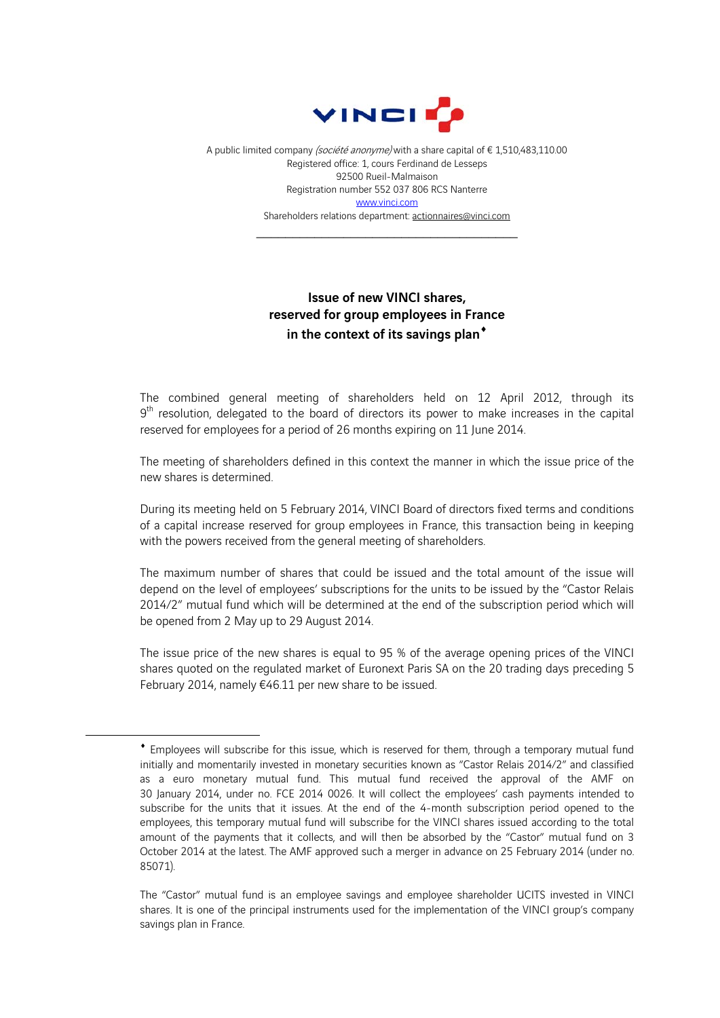

A public limited company (société anonyme) with a share capital of € 1,510,483,110.00 Registered office: 1, cours Ferdinand de Lesseps 92500 Rueil-Malmaison Registration number 552 037 806 RCS Nanterre www.vinci.com Shareholders relations department: actionnaires@vinci.com

\_\_\_\_\_\_\_\_\_\_\_\_\_\_\_\_\_\_\_\_\_\_\_\_\_\_\_\_\_\_\_\_\_\_\_\_

## Issue of new VINCI shares, reserved for group employees in France in the context of its savings plan<sup>\*</sup>

The combined general meeting of shareholders held on 12 April 2012, through its  $9<sup>th</sup>$  resolution, delegated to the board of directors its power to make increases in the capital reserved for employees for a period of 26 months expiring on 11 June 2014.

The meeting of shareholders defined in this context the manner in which the issue price of the new shares is determined.

During its meeting held on 5 February 2014, VINCI Board of directors fixed terms and conditions of a capital increase reserved for group employees in France, this transaction being in keeping with the powers received from the general meeting of shareholders.

The maximum number of shares that could be issued and the total amount of the issue will depend on the level of employees' subscriptions for the units to be issued by the "Castor Relais 2014/2" mutual fund which will be determined at the end of the subscription period which will be opened from 2 May up to 29 August 2014.

The issue price of the new shares is equal to 95 % of the average opening prices of the VINCI shares quoted on the regulated market of Euronext Paris SA on the 20 trading days preceding 5 February 2014, namely €46.11 per new share to be issued.

1

Employees will subscribe for this issue, which is reserved for them, through a temporary mutual fund initially and momentarily invested in monetary securities known as "Castor Relais 2014/2" and classified as a euro monetary mutual fund. This mutual fund received the approval of the AMF on 30 January 2014, under no. FCE 2014 0026. It will collect the employees' cash payments intended to subscribe for the units that it issues. At the end of the 4-month subscription period opened to the employees, this temporary mutual fund will subscribe for the VINCI shares issued according to the total amount of the payments that it collects, and will then be absorbed by the "Castor" mutual fund on 3 October 2014 at the latest. The AMF approved such a merger in advance on 25 February 2014 (under no. 85071).

The "Castor" mutual fund is an employee savings and employee shareholder UCITS invested in VINCI shares. It is one of the principal instruments used for the implementation of the VINCI group's company savings plan in France.